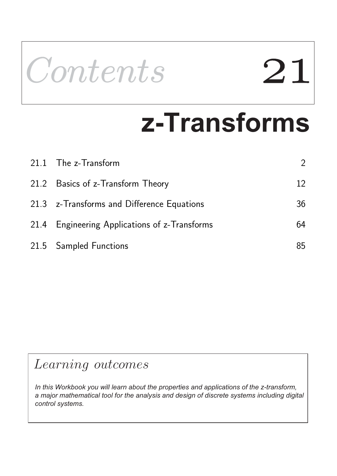

# **z-Transforms**

| 21.1 The z-Transform                          | $\mathcal{P}$ |
|-----------------------------------------------|---------------|
| 21.2 Basics of z-Transform Theory             | 12            |
| 21.3 z-Transforms and Difference Equations    | 36            |
| 21.4 Engineering Applications of z-Transforms | 64            |
| 21.5 Sampled Functions                        | 85            |

### Learning outcomes

*In this Workbook you will learn about the properties and applications of the z-transform, a major mathematical tool for the analysis and design of discrete systems including digital control systems.*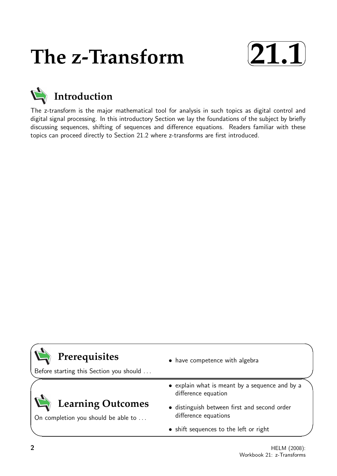## **The z-Transform**





The z-transform is the major mathematical tool for analysis in such topics as digital control and digital signal processing. In this introductory Section we lay the foundations of the subject by briefly discussing sequences, shifting of sequences and difference equations. Readers familiar with these topics can proceed directly to Section 21.2 where z-transforms are first introduced.

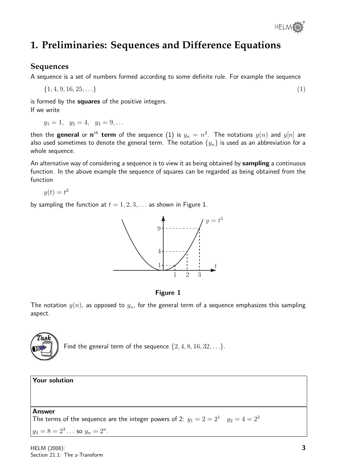

#### **1. Preliminaries: Sequences and Difference Equations**

#### **Sequences**

A sequence is a set of numbers formed according to some definite rule. For example the sequence

$$
\{1,4,9,16,25,\ldots\} \tag{1}
$$

is formed by the squares of the positive integers. If we write

 $y_1 = 1$ ,  $y_2 = 4$ ,  $y_3 = 9$ ,...

then the  $\bm{\mathsf{general}}$  or  $\bm{n}^{th}$  term of the sequence  $(1)$  is  $y_n=n^2.$  The notations  $y(n)$  and  $y[n]$  are also used sometimes to denote the general term. The notation  $\{y_n\}$  is used as an abbreviation for a whole sequence.

An alternative way of considering a sequence is to view it as being obtained by sampling a continuous function. In the above example the sequence of squares can be regarded as being obtained from the function

$$
y(t) = t^2
$$

by sampling the function at  $t = 1, 2, 3, \ldots$  as shown in Figure 1.



#### Figure 1

The notation  $y(n)$ , as opposed to  $y_n$ , for the general term of a sequence emphasizes this sampling aspect.



```
Your solution
Answer
The terms of the sequence are the integer powers of 2: y_1 = 2 = 2^1 y_2 = 4 = 2^2y_3 = 8 = 2^3 \dots so y_n = 2^n.
```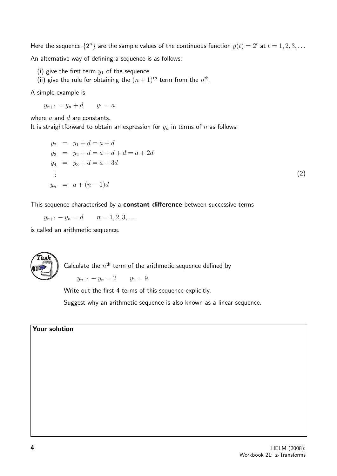Here the sequence  $\{2^n\}$  are the sample values of the continuous function  $y(t) = 2^t$  at  $t = 1, 2, 3, \ldots$ An alternative way of defining a sequence is as follows:

- (i) give the first term  $y_1$  of the sequence
- (ii) give the rule for obtaining the  $(n + 1)$ <sup>th</sup> term from the  $n^{\text{th}}$ .

A simple example is

 $y_{n+1} = y_n + d$   $y_1 = a$ 

where  $a$  and  $d$  are constants.

It is straightforward to obtain an expression for  $y_n$  in terms of  $n$  as follows:

$$
y_2 = y_1 + d = a + d
$$
  
\n
$$
y_3 = y_2 + d = a + d + d = a + 2d
$$
  
\n
$$
y_4 = y_3 + d = a + 3d
$$
  
\n
$$
\vdots
$$
  
\n
$$
y_n = a + (n - 1)d
$$
\n(2)

This sequence characterised by a constant difference between successive terms

 $y_{n+1} - y_n = d$   $n = 1, 2, 3, ...$ 

is called an arithmetic sequence.



Calculate the  $n^{\text{th}}$  term of the arithmetic sequence defined by

 $y_{n+1} - y_n = 2$   $y_1 = 9$ .

Write out the first 4 terms of this sequence explicitly.

Suggest why an arithmetic sequence is also known as a linear sequence.

#### Your solution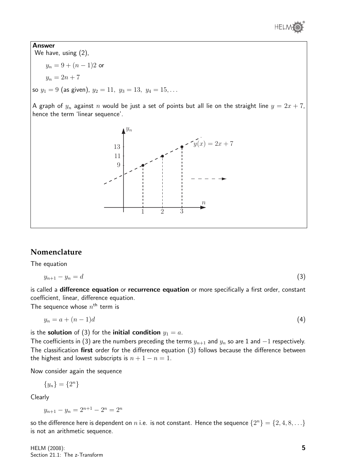

Answer

We have, using (2),  $y_n = 9 + (n-1)2$  or  $y_n = 2n + 7$ so  $y_1 = 9$  (as given),  $y_2 = 11$ ,  $y_3 = 13$ ,  $y_4 = 15$ , ...

A graph of  $y_n$  against n would be just a set of points but all lie on the straight line  $y = 2x + 7$ , hence the term 'linear sequence'.



#### **Nomenclature**

The equation

$$
y_{n+1} - y_n = d \tag{3}
$$

is called a difference equation or recurrence equation or more specifically a first order, constant coefficient, linear, difference equation.

The sequence whose  $n^{\text{th}}$  term is

$$
y_n = a + (n-1)d \tag{4}
$$

is the **solution** of (3) for the **initial condition**  $y_1 = a$ .

The coefficients in (3) are the numbers preceding the terms  $y_{n+1}$  and  $y_n$  so are 1 and  $-1$  respectively. The classification first order for the difference equation (3) follows because the difference between the highest and lowest subscripts is  $n + 1 - n = 1$ .

Now consider again the sequence

$$
\{y_n\} = \{2^n\}
$$

Clearly

$$
y_{n+1} - y_n = 2^{n+1} - 2^n = 2^n
$$

so the difference here is dependent on  $n$  i.e. is not constant. Hence the sequence  $\{2^n\}=\{2,4,8,\ldots\}$ is not an arithmetic sequence.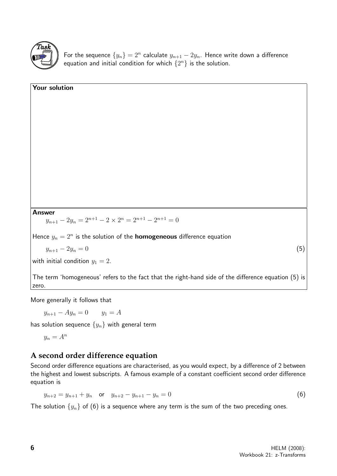

For the sequence  $\{y_n\}=2^n$  calculate  $y_{n+1}-2y_n$ . Hence write down a difference equation and initial condition for which  $\{2^n\}$  is the solution.

Your solution Answer  $y_{n+1} - 2y_n = 2^{n+1} - 2 \times 2^n = 2^{n+1} - 2^{n+1} = 0$ Hence  $y_n = 2^n$  is the solution of the **homogeneous** difference equation  $y_{n+1} - 2y_n = 0$  (5) with initial condition  $y_1 = 2$ . The term 'homogeneous' refers to the fact that the right-hand side of the difference equation (5) is

More generally it follows that

 $y_{n+1} - Ay_n = 0$   $y_1 = A$ 

has solution sequence  $\{y_n\}$  with general term

$$
y_n = A^n
$$

zero.

#### **A second order difference equation**

Second order difference equations are characterised, as you would expect, by a difference of 2 between the highest and lowest subscripts. A famous example of a constant coefficient second order difference equation is

$$
y_{n+2} = y_{n+1} + y_n \quad \text{or} \quad y_{n+2} - y_{n+1} - y_n = 0 \tag{6}
$$

The solution  $\{y_n\}$  of (6) is a sequence where any term is the sum of the two preceding ones.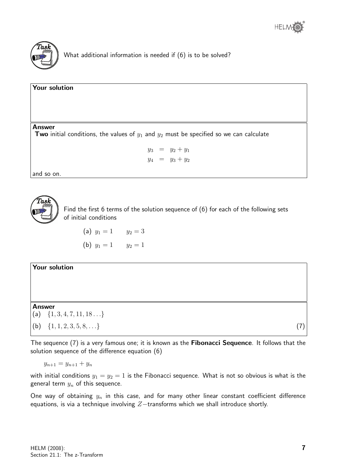

What additional information is needed if (6) is to be solved?

#### Your solution

#### Answer

**Two** initial conditions, the values of  $y_1$  and  $y_2$  must be specified so we can calculate

 $y_3 = y_2 + y_1$  $y_4 = y_3 + y_2$ 

and so on.



Find the first 6 terms of the solution sequence of (6) for each of the following sets of initial conditions

(a) 
$$
y_1 = 1
$$
  $y_2 = 3$   
(b)  $y_1 = 1$   $y_2 = 1$ 

Your solution Answer (a)  $\{1, 3, 4, 7, 11, 18 \ldots\}$ (b)  $\{1, 1, 2, 3, 5, 8, \ldots\}$  (7)

The sequence (7) is a very famous one; it is known as the Fibonacci Sequence. It follows that the solution sequence of the difference equation (6)

$$
y_{n+1} = y_{n+1} + y_n
$$

with initial conditions  $y_1 = y_2 = 1$  is the Fibonacci sequence. What is not so obvious is what is the general term  $y_n$  of this sequence.

One way of obtaining  $y_n$  in this case, and for many other linear constant coefficient difference equations, is via a technique involving  $Z$ −transforms which we shall introduce shortly.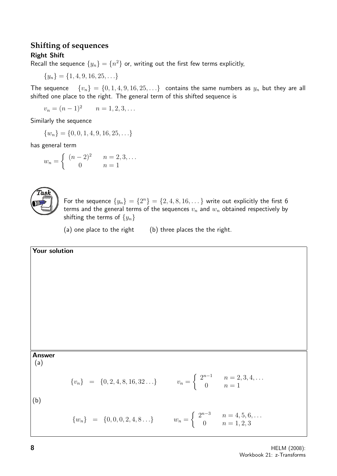#### **Shifting of sequences**

#### Right Shift

Recall the sequence  $\{y_n\}=\{n^2\}$  or, writing out the first few terms explicitly,

 ${y_n} = {1, 4, 9, 16, 25, \ldots}$ 

The sequence  ${v_n} = {0, 1, 4, 9, 16, 25, \ldots}$  contains the same numbers as  $y_n$  but they are all shifted one place to the right. The general term of this shifted sequence is

 $v_n = (n-1)^2$   $n = 1, 2, 3, ...$ 

Similarly the sequence

 $\{w_n\} = \{0, 0, 1, 4, 9, 16, 25, \ldots\}$ 

has general term

$$
w_n = \begin{cases} (n-2)^2 & n = 2, 3, ... \\ 0 & n = 1 \end{cases}
$$



For the sequence  $\{y_n\} = \{2^n\} = \{2, 4, 8, 16, \dots\}$  write out explicitly the first 6 terms and the general terms of the sequences  $v_n$  and  $w_n$  obtained respectively by shifting the terms of  $\{y_n\}$ 

(a) one place to the right  $($ b) three places the the right.

Your solution  
\nAnswer  
\n(a)  
\n
$$
\{v_n\} = \{0, 2, 4, 8, 16, 32...\} \qquad v_n = \begin{cases}\n2^{n-1} & n = 2, 3, 4, ...\n\end{cases}
$$
\n(b)  
\n
$$
\{w_n\} = \{0, 0, 0, 2, 4, 8...\} \qquad w_n = \begin{cases}\n2^{n-3} & n = 4, 5, 6, ...\n\end{cases}
$$
\n
$$
v_n = \begin{cases}\n2^{n-3} & n = 4, 5, 6, ...\n\end{cases}
$$
\n
$$
v_n = \begin{cases}\n2^{n-3} & n = 4, 5, 6, ...\n\end{cases}
$$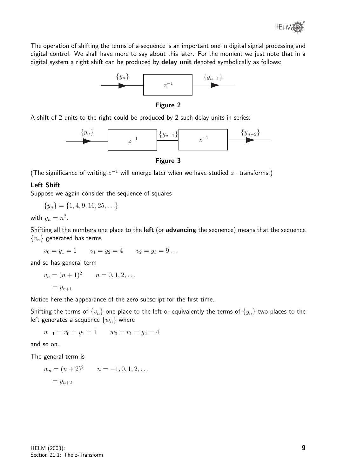

The operation of shifting the terms of a sequence is an important one in digital signal processing and digital control. We shall have more to say about this later. For the moment we just note that in a digital system a right shift can be produced by delay unit denoted symbolically as follows:



Figure 2

A shift of 2 units to the right could be produced by 2 such delay units in series:



Figure 3

(The significance of writing  $z^{-1}$  will emerge later when we have studied  $z$ −transforms.)

#### Left Shift

Suppose we again consider the sequence of squares

$$
\{y_n\} = \{1, 4, 9, 16, 25, \ldots\}
$$

with  $y_n = n^2$ .

Shifting all the numbers one place to the left (or advancing the sequence) means that the sequence  ${v_n}$  generated has terms

$$
v_0 = y_1 = 1 \qquad v_1 = y_2 = 4 \qquad v_2 = y_3 = 9 \dots
$$

and so has general term

$$
v_n = (n+1)^2 \qquad n = 0, 1, 2, \dots
$$

$$
= y_{n+1}
$$

Notice here the appearance of the zero subscript for the first time.

Shifting the terms of  $\{v_n\}$  one place to the left or equivalently the terms of  $\{y_n\}$  two places to the left generates a sequence  $\{w_n\}$  where

$$
w_{-1} = v_0 = y_1 = 1 \qquad w_0 = v_1 = y_2 = 4
$$

and so on.

The general term is

$$
w_n = (n+2)^2 \qquad n = -1, 0, 1, 2, \dots
$$

$$
= y_{n+2}
$$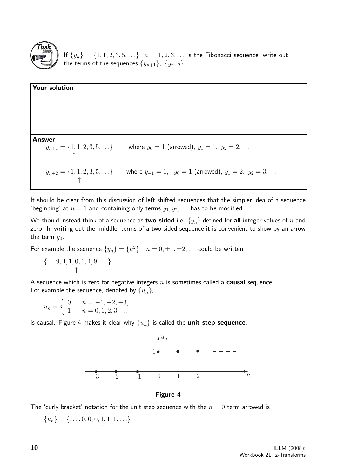

If  $\{y_n\} = \{1, 1, 2, 3, 5, ...\}$   $n = 1, 2, 3, ...$  is the Fibonacci sequence, write out the terms of the sequences  $\{y_{n+1}\},\ \{y_{n+2}\}.$ 



It should be clear from this discussion of left shifted sequences that the simpler idea of a sequence 'beginning' at  $n = 1$  and containing only terms  $y_1, y_2, \ldots$  has to be modified.

We should instead think of a sequence as two-sided i.e.  $\{y_n\}$  defined for all integer values of n and zero. In writing out the 'middle' terms of a two sided sequence it is convenient to show by an arrow the term  $y_0$ .

For example the sequence  $\{y_n\} = \{n^2\}$   $n = 0, \pm 1, \pm 2, \ldots$  could be written

$$
\{\ldots 9,4,1,0,1,4,9,\ldots\}
$$

A sequence which is zero for negative integers  $n$  is sometimes called a **causal** sequence. For example the sequence, denoted by  $\{u_n\}$ ,

$$
u_n = \begin{cases} 0 & n = -1, -2, -3, \dots \\ 1 & n = 0, 1, 2, 3, \dots \end{cases}
$$

is causal. Figure 4 makes it clear why  $\{u_n\}$  is called the unit step sequence.



Figure 4

The 'curly bracket' notation for the unit step sequence with the  $n = 0$  term arrowed is

$$
\{u_n\} = \{\ldots, 0, 0, 0, 1, 1, 1, \ldots\}
$$